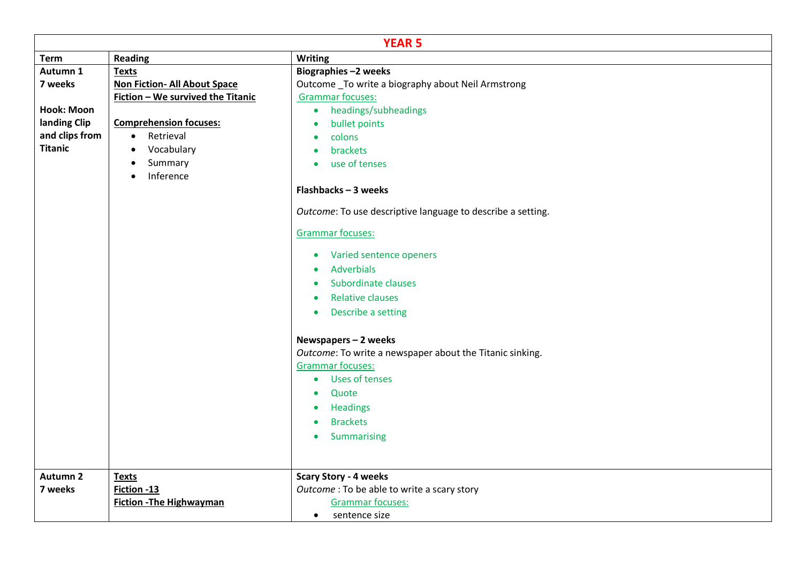| <b>YEAR 5</b>   |                                     |                                                             |  |  |
|-----------------|-------------------------------------|-------------------------------------------------------------|--|--|
| <b>Term</b>     | <b>Reading</b>                      | <b>Writing</b>                                              |  |  |
| Autumn 1        | <b>Texts</b>                        | Biographies-2 weeks                                         |  |  |
| 7 weeks         | <b>Non Fiction- All About Space</b> | Outcome _To write a biography about Neil Armstrong          |  |  |
|                 | Fiction - We survived the Titanic   | <b>Grammar focuses:</b>                                     |  |  |
| Hook: Moon      |                                     | • headings/subheadings                                      |  |  |
| landing Clip    | <b>Comprehension focuses:</b>       | bullet points<br>$\bullet$                                  |  |  |
| and clips from  | • Retrieval                         | colons                                                      |  |  |
| <b>Titanic</b>  | • Vocabulary                        | brackets                                                    |  |  |
|                 | Summary<br>$\bullet$                | • use of tenses                                             |  |  |
|                 | Inference<br>$\bullet$              |                                                             |  |  |
|                 |                                     | Flashbacks-3 weeks                                          |  |  |
|                 |                                     | Outcome: To use descriptive language to describe a setting. |  |  |
|                 |                                     | Grammar focuses:                                            |  |  |
|                 |                                     | • Varied sentence openers                                   |  |  |
|                 |                                     | Adverbials                                                  |  |  |
|                 |                                     | Subordinate clauses                                         |  |  |
|                 |                                     | <b>Relative clauses</b><br>$\bullet$                        |  |  |
|                 |                                     | Describe a setting<br>$\bullet$                             |  |  |
|                 |                                     |                                                             |  |  |
|                 |                                     | Newspapers-2 weeks                                          |  |  |
|                 |                                     | Outcome: To write a newspaper about the Titanic sinking.    |  |  |
|                 |                                     | <b>Grammar focuses:</b>                                     |  |  |
|                 |                                     | Uses of tenses<br>$\bullet$                                 |  |  |
|                 |                                     | Quote                                                       |  |  |
|                 |                                     | Headings                                                    |  |  |
|                 |                                     | <b>Brackets</b>                                             |  |  |
|                 |                                     | Summarising<br>$\bullet$                                    |  |  |
|                 |                                     |                                                             |  |  |
|                 |                                     |                                                             |  |  |
| <b>Autumn 2</b> | <b>Texts</b>                        | <b>Scary Story - 4 weeks</b>                                |  |  |
| 7 weeks         | Fiction -13                         | Outcome : To be able to write a scary story                 |  |  |
|                 | <b>Fiction - The Highwayman</b>     | <b>Grammar focuses:</b>                                     |  |  |
|                 |                                     | • sentence size                                             |  |  |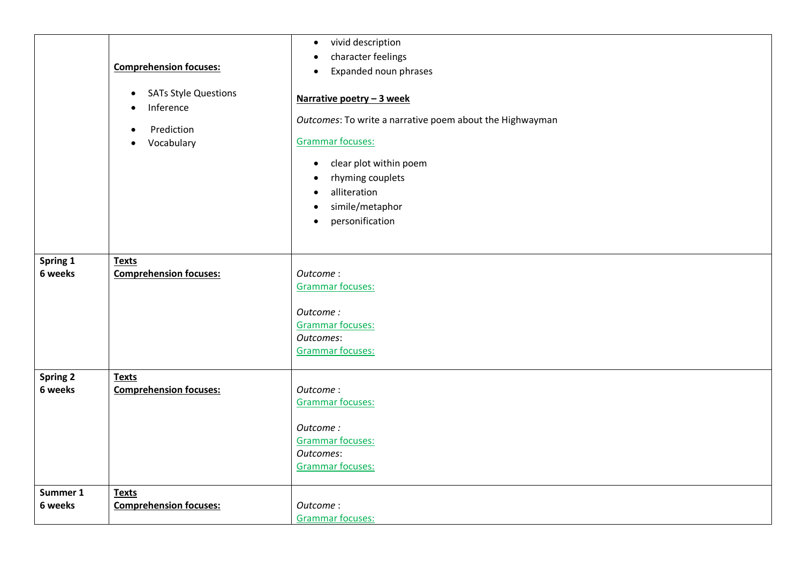|                            | <b>Comprehension focuses:</b><br><b>SATs Style Questions</b><br>$\bullet$<br>Inference<br>$\bullet$<br>Prediction<br>Vocabulary<br>$\bullet$ | vivid description<br>$\bullet$<br>character feelings<br>$\bullet$<br>Expanded noun phrases<br>$\bullet$<br>Narrative poetry - 3 week<br>Outcomes: To write a narrative poem about the Highwayman<br><b>Grammar focuses:</b><br>clear plot within poem<br>$\bullet$<br>rhyming couplets<br>$\bullet$<br>alliteration<br>$\bullet$<br>simile/metaphor<br>$\bullet$<br>personification<br>$\bullet$ |
|----------------------------|----------------------------------------------------------------------------------------------------------------------------------------------|--------------------------------------------------------------------------------------------------------------------------------------------------------------------------------------------------------------------------------------------------------------------------------------------------------------------------------------------------------------------------------------------------|
| Spring 1<br>6 weeks        | <b>Texts</b><br><b>Comprehension focuses:</b>                                                                                                | Outcome:<br>Grammar focuses:<br>Outcome:<br>Grammar focuses:<br>Outcomes:<br><b>Grammar focuses:</b>                                                                                                                                                                                                                                                                                             |
| <b>Spring 2</b><br>6 weeks | <b>Texts</b><br><b>Comprehension focuses:</b>                                                                                                | Outcome:<br>Grammar focuses:<br>Outcome:<br><b>Grammar focuses:</b><br>Outcomes:<br><b>Grammar focuses:</b>                                                                                                                                                                                                                                                                                      |
| Summer 1<br>6 weeks        | <b>Texts</b><br><b>Comprehension focuses:</b>                                                                                                | Outcome:<br><b>Grammar focuses:</b>                                                                                                                                                                                                                                                                                                                                                              |